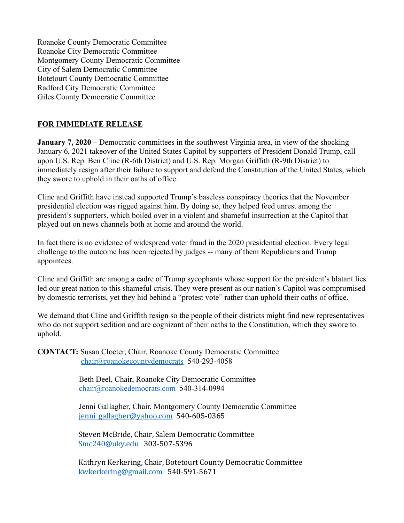Roanoke County Democratic Committee Roanoke City Democratic Committee Montgomery County Democratic Committee City of Salem Democratic Committee Botetourt County Democratic Committee Radford City Democratic Committee Giles County Democratic Committee

## **FOR IMMEDIATE RELEASE**

**January 7, 2020** – Democratic committees in the southwest Virginia area, in view of the shocking January 6, 2021 takeover of the United States Capitol by supporters of President Donald Trump, call upon U.S. Rep. Ben Cline (R-6th District) and U.S. Rep. Morgan Griffith (R-9th District) to immediately resign after their failure to support and defend the Constitution of the United States, which they swore to uphold in their oaths of office.

Cline and Griffith have instead supported Trump's baseless conspiracy theories that the November presidential election was rigged against him. By doing so, they helped feed unrest among the president's supporters, which boiled over in a violent and shameful insurrection at the Capitol that played out on news channels both at home and around the world.

In fact there is no evidence of widespread voter fraud in the 2020 presidential election. Every legal challenge to the outcome has been rejected by judges -- many of them Republicans and Trump appointees.

Cline and Griffith are among a cadre of Trump sycophants whose support for the president's blatant lies led our great nation to this shameful crisis. They were present as our nation's Capitol was compromised by domestic terrorists, yet they hid behind a "protest vote" rather than uphold their oaths of office.

We demand that Cline and Griffith resign so the people of their districts might find new representatives who do not support sedition and are cognizant of their oaths to the Constitution, which they swore to uphold.

**CONTACT:** Susan Cloeter, Chair, Roanoke County Democratic Committee chair@roanokecountydemocrats 540-293-4058

> Beth Deel, Chair, Roanoke City Democratic Committee chair@roanokedemocrats.com 540-314-0994

 Jenni Gallagher, Chair, Montgomery County Democratic Committee jenni gallagher@yahoo.com 540-605-0365

Steven McBride, Chair, Salem Democratic Committee Smc240@uky.edu 303-507-5396

Kathryn Kerkering, Chair, Botetourt County Democratic Committee kwkerkering@gmail.com 540-591-5671